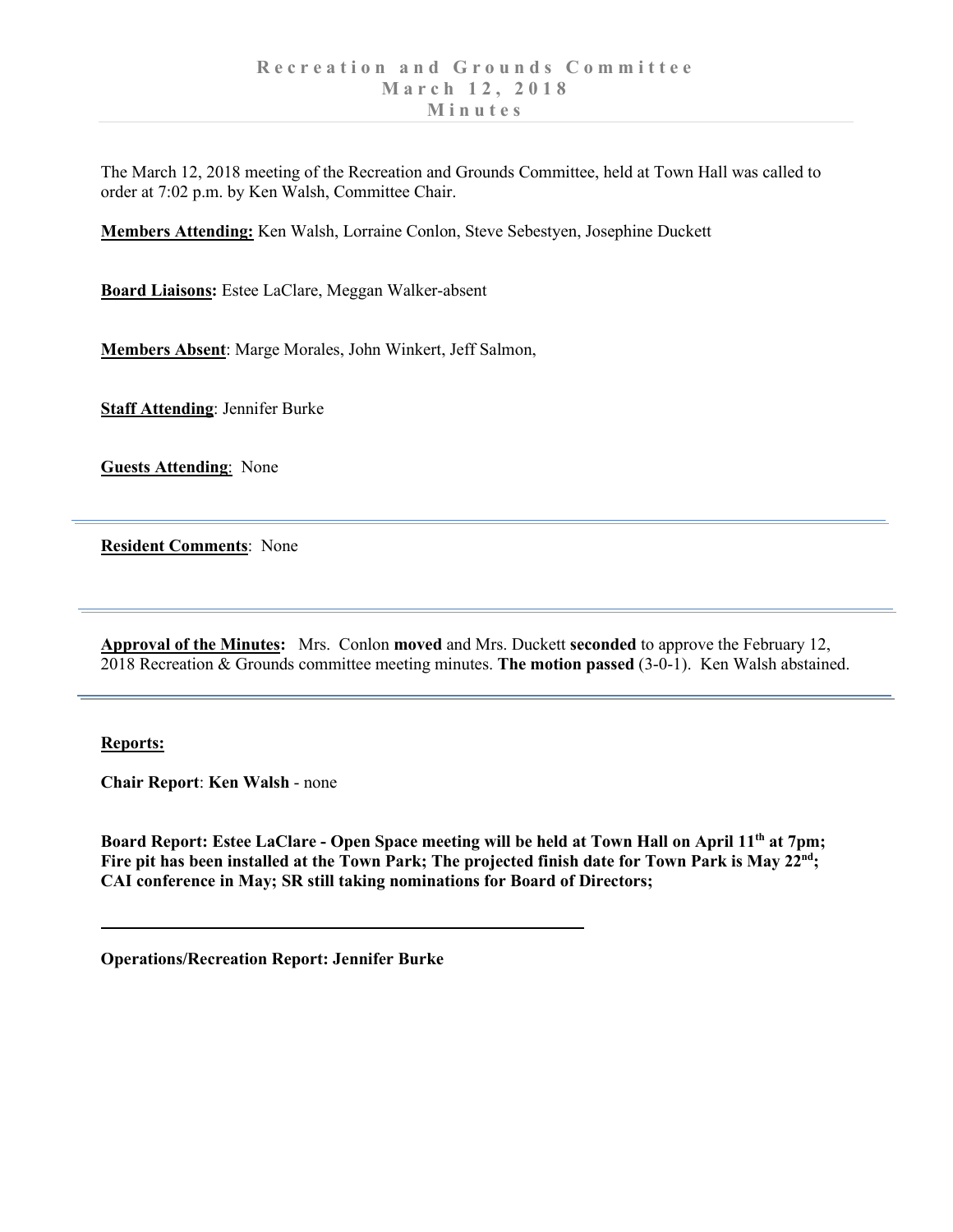The March 12, 2018 meeting of the Recreation and Grounds Committee, held at Town Hall was called to order at 7:02 p.m. by Ken Walsh, Committee Chair.

**Members Attending:** Ken Walsh, Lorraine Conlon, Steve Sebestyen, Josephine Duckett

**Board Liaisons:** Estee LaClare, Meggan Walker-absent

**Members Absent**: Marge Morales, John Winkert, Jeff Salmon,

**Staff Attending**: Jennifer Burke

**Guests Attending**: None

**Resident Comments**: None

**Approval of the Minutes:** Mrs. Conlon **moved** and Mrs. Duckett **seconded** to approve the February 12, 2018 Recreation & Grounds committee meeting minutes. **The motion passed** (3-0-1). Ken Walsh abstained.

## **Reports:**

**Chair Report**: **Ken Walsh** - none

**Board Report: Estee LaClare - Open Space meeting will be held at Town Hall on April 11th at 7pm;**  Fire pit has been installed at the Town Park; The projected finish date for Town Park is May 22<sup>nd</sup>; **CAI conference in May; SR still taking nominations for Board of Directors;** 

**Operations/Recreation Report: Jennifer Burke**